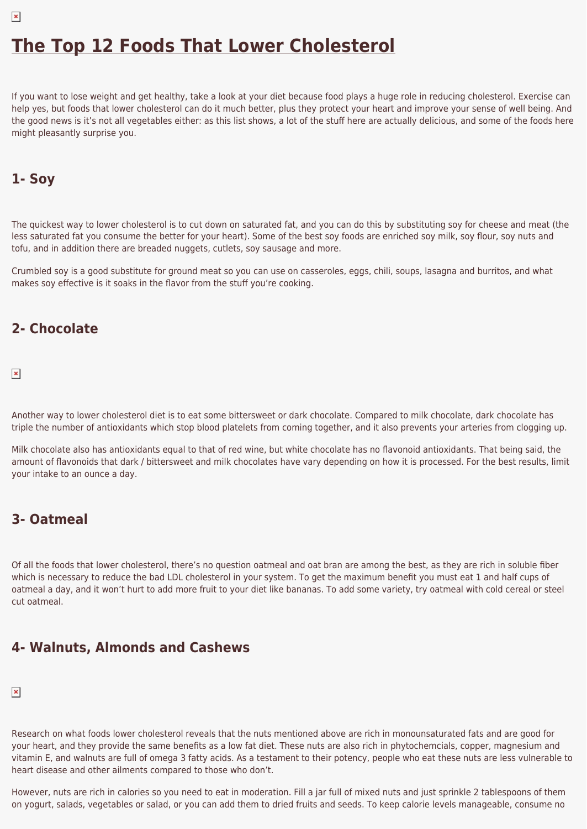# **[The Top 12 Foods That Lower Cholesterol](https://healthpundits.com/the-top-12-foods-that-lower-cholesterol/)**

If you want to lose weight and get healthy, take a look at your diet because food plays a huge role in reducing cholesterol. Exercise can help yes, but foods that lower cholesterol can do it much better, plus they protect your heart and improve your sense of well being. And the good news is it's not all vegetables either: as this list shows, a lot of the stuff here are actually delicious, and some of the foods here might pleasantly surprise you.

## **1- Soy**

The quickest way to lower cholesterol is to cut down on saturated fat, and you can do this by substituting soy for cheese and meat (the less saturated fat you consume the better for your heart). Some of the best soy foods are enriched soy milk, soy flour, soy nuts and tofu, and in addition there are breaded nuggets, cutlets, soy sausage and more.

Crumbled soy is a good substitute for ground meat so you can use on casseroles, eggs, chili, soups, lasagna and burritos, and what makes soy effective is it soaks in the flavor from the stuff you're cooking.

## **2- Chocolate**

### $\pmb{\times}$

Another way to lower cholesterol diet is to eat some bittersweet or dark chocolate. Compared to milk chocolate, dark chocolate has triple the number of antioxidants which stop blood platelets from coming together, and it also prevents your arteries from clogging up.

Milk chocolate also has antioxidants equal to that of red wine, but white chocolate has no flavonoid antioxidants. That being said, the amount of flavonoids that dark / bittersweet and milk chocolates have vary depending on how it is processed. For the best results, limit your intake to an ounce a day.

## **3- Oatmeal**

Of all the foods that lower cholesterol, there's no question oatmeal and oat bran are among the best, as they are rich in soluble fiber which is necessary to reduce the bad LDL cholesterol in your system. To get the maximum benefit you must eat 1 and half cups of oatmeal a day, and it won't hurt to add more fruit to your diet like bananas. To add some variety, try oatmeal with cold cereal or steel cut oatmeal.

## **4- Walnuts, Almonds and Cashews**

### $\pmb{\times}$

Research on what foods lower cholesterol reveals that the nuts mentioned above are rich in monounsaturated fats and are good for your heart, and they provide the same benefits as a low fat diet. These nuts are also rich in phytochemcials, copper, magnesium and vitamin E, and walnuts are full of omega 3 fatty acids. As a testament to their potency, people who eat these nuts are less vulnerable to heart disease and other ailments compared to those who don't.

However, nuts are rich in calories so you need to eat in moderation. Fill a jar full of mixed nuts and just sprinkle 2 tablespoons of them on yogurt, salads, vegetables or salad, or you can add them to dried fruits and seeds. To keep calorie levels manageable, consume no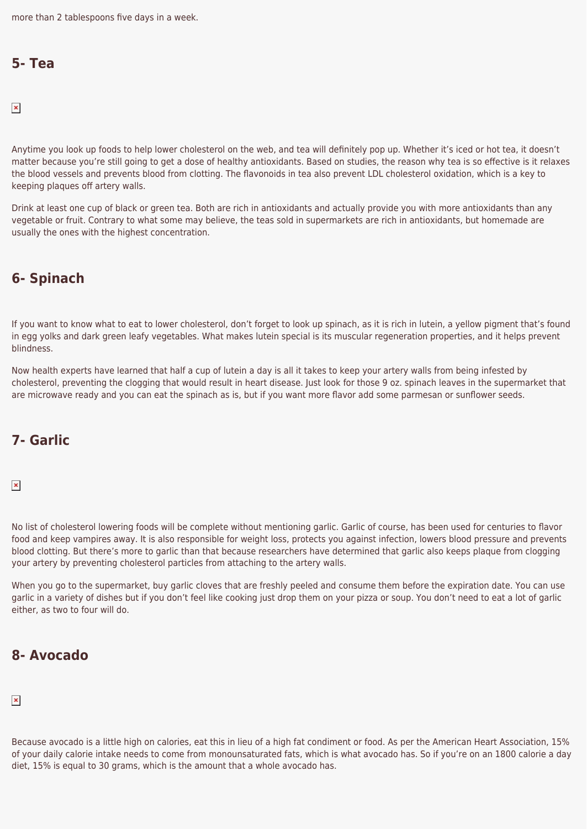more than 2 tablespoons five days in a week.

### **5- Tea**

 $\pmb{\times}$ 

Anytime you look up foods to help lower cholesterol on the web, and tea will definitely pop up. Whether it's iced or hot tea, it doesn't matter because you're still going to get a dose of healthy antioxidants. Based on studies, the reason why tea is so effective is it relaxes the blood vessels and prevents blood from clotting. The flavonoids in tea also prevent LDL cholesterol oxidation, which is a key to keeping plaques off artery walls.

Drink at least one cup of black or green tea. Both are rich in antioxidants and actually provide you with more antioxidants than any vegetable or fruit. Contrary to what some may believe, the teas sold in supermarkets are rich in antioxidants, but homemade are usually the ones with the highest concentration.

## **6- Spinach**

If you want to know what to eat to lower cholesterol, don't forget to look up spinach, as it is rich in lutein, a yellow pigment that's found in egg yolks and dark green leafy vegetables. What makes lutein special is its muscular regeneration properties, and it helps prevent blindness.

Now health experts have learned that half a cup of lutein a day is all it takes to keep your artery walls from being infested by cholesterol, preventing the clogging that would result in heart disease. Just look for those 9 oz. spinach leaves in the supermarket that are microwave ready and you can eat the spinach as is, but if you want more flavor add some parmesan or sunflower seeds.

## **7- Garlic**

 $\pmb{\times}$ 

No list of cholesterol lowering foods will be complete without mentioning garlic. Garlic of course, has been used for centuries to flavor food and keep vampires away. It is also responsible for weight loss, protects you against infection, lowers blood pressure and prevents blood clotting. But there's more to garlic than that because researchers have determined that garlic also keeps plaque from clogging your artery by preventing cholesterol particles from attaching to the artery walls.

When you go to the supermarket, buy garlic cloves that are freshly peeled and consume them before the expiration date. You can use garlic in a variety of dishes but if you don't feel like cooking just drop them on your pizza or soup. You don't need to eat a lot of garlic either, as two to four will do.

## **8- Avocado**

### $\pmb{\times}$

Because avocado is a little high on calories, eat this in lieu of a high fat condiment or food. As per the American Heart Association, 15% of your daily calorie intake needs to come from monounsaturated fats, which is what avocado has. So if you're on an 1800 calorie a day diet, 15% is equal to 30 grams, which is the amount that a whole avocado has.